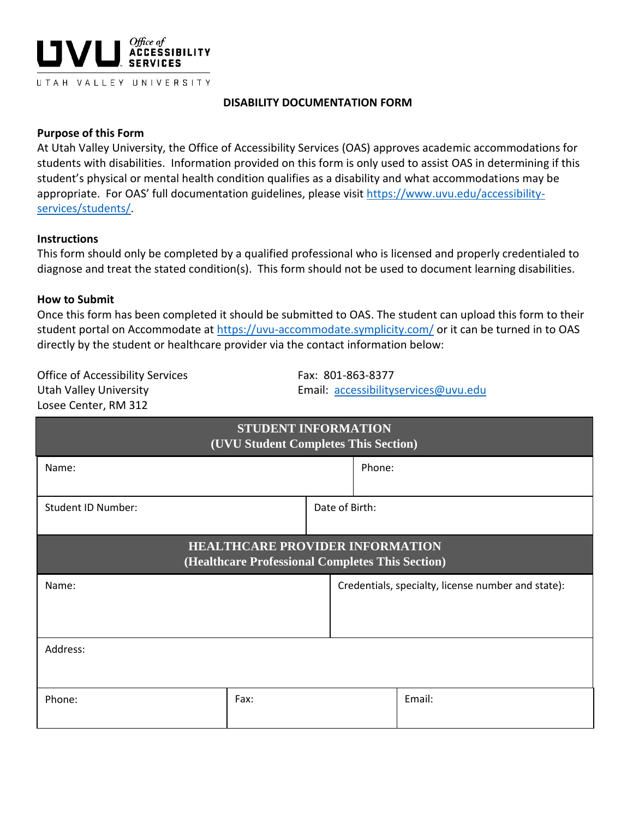

### **DISABILITY DOCUMENTATION FORM**

#### **Purpose of this Form**

At Utah Valley University, the Office of Accessibility Services (OAS) approves academic accommodations for students with disabilities. Information provided on this form is only used to assist OAS in determining if this student's physical or mental health condition qualifies as a disability and what accommodations may be appropriate. For OAS' full documentation guidelines, please visit [https://www.uvu.edu/accessibility](https://www.uvu.edu/accessibility-services/students/)[services/students/.](https://www.uvu.edu/accessibility-services/students/)

#### **Instructions**

This form should only be completed by a qualified professional who is licensed and properly credentialed to diagnose and treat the stated condition(s). This form should not be used to document learning disabilities.

#### **How to Submit**

Once this form has been completed it should be submitted to OAS. The student can upload this form to their student portal on Accommodate at <https://uvu-accommodate.symplicity.com/> or it can be turned in to OAS directly by the student or healthcare provider via the contact information below:

Office of Accessibility Services Fax: 801-863-8377 Losee Center, RM 312

Utah Valley University Email: [accessibilityservices@uvu.edu](mailto:accessibilityservices@uvu.edu)

| STUDENT INFORMATION<br>(UVU Student Completes This Section)                                |                |        |                                                    |  |
|--------------------------------------------------------------------------------------------|----------------|--------|----------------------------------------------------|--|
| Name:                                                                                      |                | Phone: |                                                    |  |
| <b>Student ID Number:</b>                                                                  | Date of Birth: |        |                                                    |  |
| <b>HEALTHCARE PROVIDER INFORMATION</b><br>(Healthcare Professional Completes This Section) |                |        |                                                    |  |
| Name:                                                                                      |                |        | Credentials, specialty, license number and state): |  |
|                                                                                            |                |        |                                                    |  |
| Address:                                                                                   |                |        |                                                    |  |
| Phone:                                                                                     | Fax:           |        | Email:                                             |  |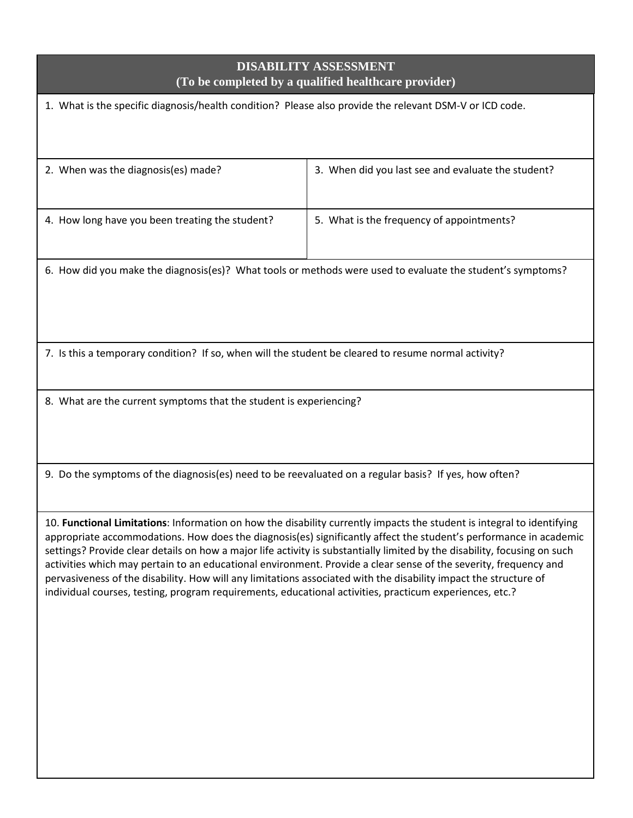# **DISABILITY ASSESSMENT (To be completed by a qualified healthcare provider)**

1. What is the specific diagnosis/health condition? Please also provide the relevant DSM-V or ICD code.

| 2. When was the diagnosis(es) made?             | 3. When did you last see and evaluate the student? |
|-------------------------------------------------|----------------------------------------------------|
| 4. How long have you been treating the student? | 5. What is the frequency of appointments?          |

6. How did you make the diagnosis(es)? What tools or methods were used to evaluate the student's symptoms?

7. Is this a temporary condition? If so, when will the student be cleared to resume normal activity?

8. What are the current symptoms that the student is experiencing?

9. Do the symptoms of the diagnosis(es) need to be reevaluated on a regular basis? If yes, how often?

10. **Functional Limitations**: Information on how the disability currently impacts the student is integral to identifying appropriate accommodations. How does the diagnosis(es) significantly affect the student's performance in academic settings? Provide clear details on how a major life activity is substantially limited by the disability, focusing on such activities which may pertain to an educational environment. Provide a clear sense of the severity, frequency and pervasiveness of the disability. How will any limitations associated with the disability impact the structure of individual courses, testing, program requirements, educational activities, practicum experiences, etc.?